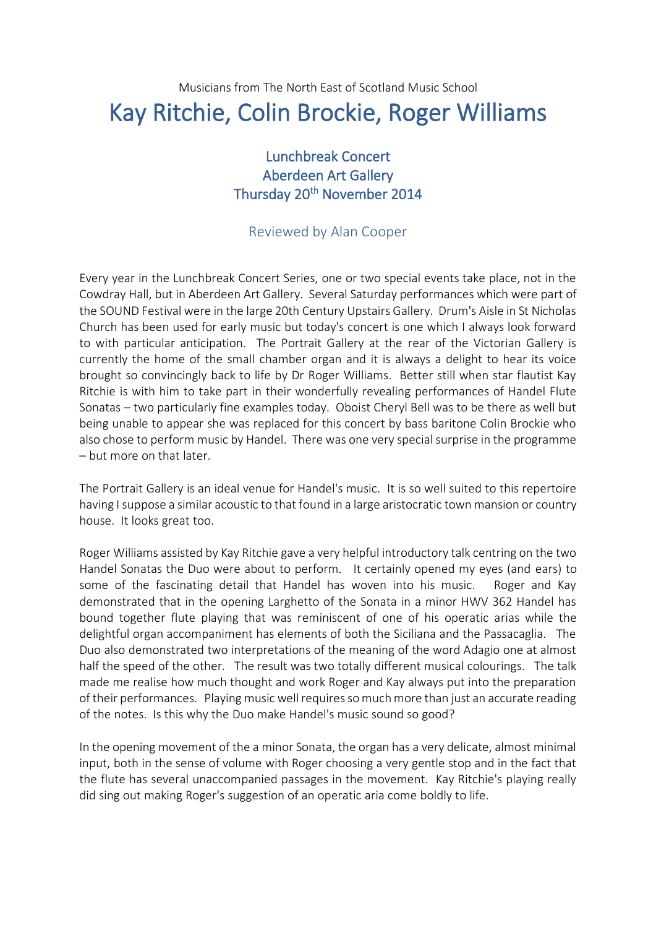## Musicians from The North East of Scotland Music School Kay Ritchie, Colin Brockie, Roger Williams

## Lunchbreak Concert Aberdeen Art Gallery Thursday 20<sup>th</sup> November 2014

## Reviewed by Alan Cooper

Every year in the Lunchbreak Concert Series, one or two special events take place, not in the Cowdray Hall, but in Aberdeen Art Gallery. Several Saturday performances which were part of the SOUND Festival were in the large 20th Century Upstairs Gallery. Drum's Aisle in St Nicholas Church has been used for early music but today's concert is one which I always look forward to with particular anticipation. The Portrait Gallery at the rear of the Victorian Gallery is currently the home of the small chamber organ and it is always a delight to hear its voice brought so convincingly back to life by Dr Roger Williams. Better still when star flautist Kay Ritchie is with him to take part in their wonderfully revealing performances of Handel Flute Sonatas – two particularly fine examples today. Oboist Cheryl Bell was to be there as well but being unable to appear she was replaced for this concert by bass baritone Colin Brockie who also chose to perform music by Handel. There was one very special surprise in the programme – but more on that later.

The Portrait Gallery is an ideal venue for Handel's music. It is so well suited to this repertoire having I suppose a similar acoustic to that found in a large aristocratic town mansion or country house. It looks great too.

Roger Williams assisted by Kay Ritchie gave a very helpful introductory talk centring on the two Handel Sonatas the Duo were about to perform. It certainly opened my eyes (and ears) to some of the fascinating detail that Handel has woven into his music. Roger and Kay demonstrated that in the opening Larghetto of the Sonata in a minor HWV 362 Handel has bound together flute playing that was reminiscent of one of his operatic arias while the delightful organ accompaniment has elements of both the Siciliana and the Passacaglia. The Duo also demonstrated two interpretations of the meaning of the word Adagio one at almost half the speed of the other. The result was two totally different musical colourings. The talk made me realise how much thought and work Roger and Kay always put into the preparation of their performances. Playing music well requires so much more than just an accurate reading of the notes. Is this why the Duo make Handel's music sound so good?

In the opening movement of the a minor Sonata, the organ has a very delicate, almost minimal input, both in the sense of volume with Roger choosing a very gentle stop and in the fact that the flute has several unaccompanied passages in the movement. Kay Ritchie's playing really did sing out making Roger's suggestion of an operatic aria come boldly to life.